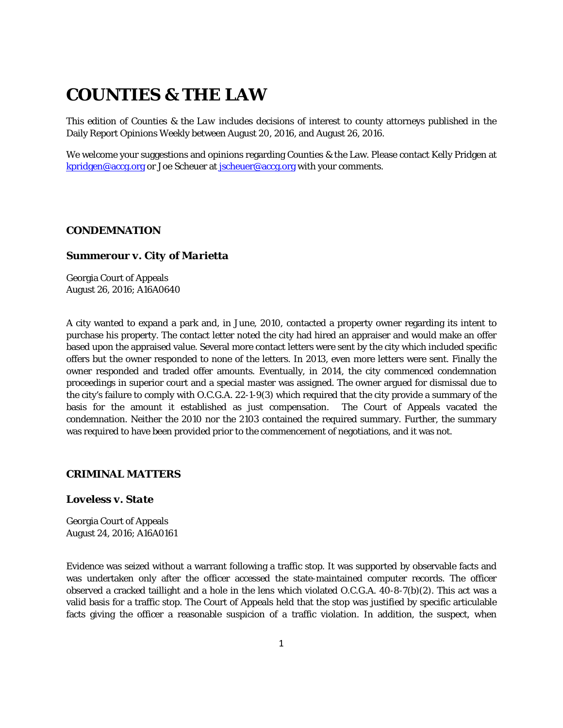# **COUNTIES & THE LAW**

This edition of *Counties & the Law* includes decisions of interest to county attorneys published in the Daily Report Opinions Weekly between August 20, 2016, and August 26, 2016.

We welcome your suggestions and opinions regarding Counties & the Law. Please contact Kelly Pridgen at [kpridgen@accg.org](mailto:kpridgen@accg.org) or Joe Scheuer at [jscheuer@accg.org](mailto:jscheuer@accg.org) with your comments.

#### *CONDEMNATION*

#### *Summerour v. City of Marietta*

Georgia Court of Appeals August 26, 2016; A16A0640

A city wanted to expand a park and, in June, 2010, contacted a property owner regarding its intent to purchase his property. The contact letter noted the city had hired an appraiser and would make an offer based upon the appraised value. Several more contact letters were sent by the city which included specific offers but the owner responded to none of the letters. In 2013, even more letters were sent. Finally the owner responded and traded offer amounts. Eventually, in 2014, the city commenced condemnation proceedings in superior court and a special master was assigned. The owner argued for dismissal due to the city's failure to comply with O.C.G.A. 22-1-9(3) which required that the city provide a summary of the basis for the amount it established as just compensation. The Court of Appeals vacated the condemnation. Neither the 2010 nor the 2103 contained the required summary. Further, the summary was required to have been provided prior to the commencement of negotiations, and it was not.

#### *CRIMINAL MATTERS*

## *Loveless v. State*

Georgia Court of Appeals August 24, 2016; A16A0161

Evidence was seized without a warrant following a traffic stop. It was supported by observable facts and was undertaken only after the officer accessed the state-maintained computer records. The officer observed a cracked taillight and a hole in the lens which violated O.C.G.A. 40-8-7(b)(2). This act was a valid basis for a traffic stop. The Court of Appeals held that the stop was justified by specific articulable facts giving the officer a reasonable suspicion of a traffic violation. In addition, the suspect, when